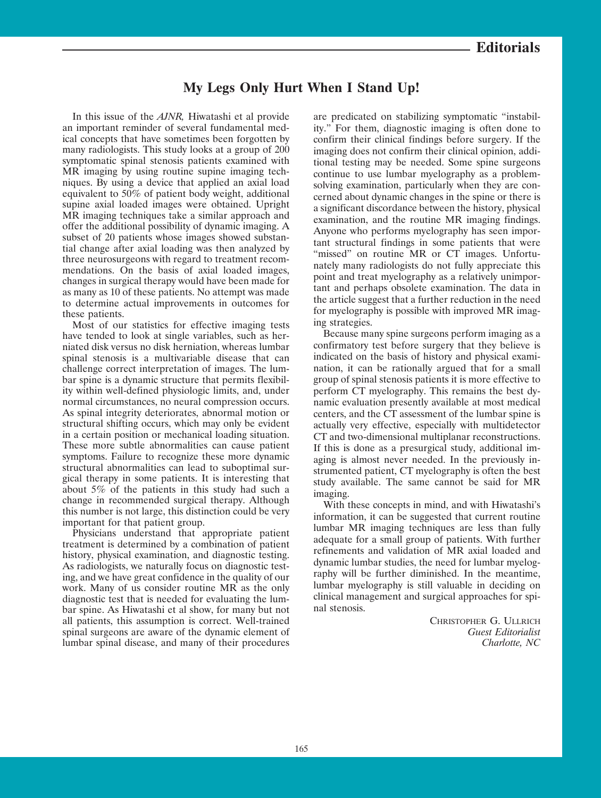# **My Legs Only Hurt When I Stand Up!**

In this issue of the *AJNR,* Hiwatashi et al provide an important reminder of several fundamental medical concepts that have sometimes been forgotten by many radiologists. This study looks at a group of 200 symptomatic spinal stenosis patients examined with MR imaging by using routine supine imaging techniques. By using a device that applied an axial load equivalent to 50% of patient body weight, additional supine axial loaded images were obtained. Upright MR imaging techniques take a similar approach and offer the additional possibility of dynamic imaging. A subset of 20 patients whose images showed substantial change after axial loading was then analyzed by three neurosurgeons with regard to treatment recommendations. On the basis of axial loaded images, changes in surgical therapy would have been made for as many as 10 of these patients. No attempt was made to determine actual improvements in outcomes for these patients.

Most of our statistics for effective imaging tests have tended to look at single variables, such as herniated disk versus no disk herniation, whereas lumbar spinal stenosis is a multivariable disease that can challenge correct interpretation of images. The lumbar spine is a dynamic structure that permits flexibility within well-defined physiologic limits, and, under normal circumstances, no neural compression occurs. As spinal integrity deteriorates, abnormal motion or structural shifting occurs, which may only be evident in a certain position or mechanical loading situation. These more subtle abnormalities can cause patient symptoms. Failure to recognize these more dynamic structural abnormalities can lead to suboptimal surgical therapy in some patients. It is interesting that about 5% of the patients in this study had such a change in recommended surgical therapy. Although this number is not large, this distinction could be very important for that patient group.

Physicians understand that appropriate patient treatment is determined by a combination of patient history, physical examination, and diagnostic testing. As radiologists, we naturally focus on diagnostic testing, and we have great confidence in the quality of our work. Many of us consider routine MR as the only diagnostic test that is needed for evaluating the lumbar spine. As Hiwatashi et al show, for many but not all patients, this assumption is correct. Well-trained spinal surgeons are aware of the dynamic element of lumbar spinal disease, and many of their procedures

are predicated on stabilizing symptomatic "instability." For them, diagnostic imaging is often done to confirm their clinical findings before surgery. If the imaging does not confirm their clinical opinion, additional testing may be needed. Some spine surgeons continue to use lumbar myelography as a problemsolving examination, particularly when they are concerned about dynamic changes in the spine or there is a significant discordance between the history, physical examination, and the routine MR imaging findings. Anyone who performs myelography has seen important structural findings in some patients that were "missed" on routine MR or CT images. Unfortunately many radiologists do not fully appreciate this point and treat myelography as a relatively unimportant and perhaps obsolete examination. The data in the article suggest that a further reduction in the need for myelography is possible with improved MR imaging strategies.

Because many spine surgeons perform imaging as a confirmatory test before surgery that they believe is indicated on the basis of history and physical examination, it can be rationally argued that for a small group of spinal stenosis patients it is more effective to perform CT myelography. This remains the best dynamic evaluation presently available at most medical centers, and the CT assessment of the lumbar spine is actually very effective, especially with multidetector CT and two-dimensional multiplanar reconstructions. If this is done as a presurgical study, additional imaging is almost never needed. In the previously instrumented patient, CT myelography is often the best study available. The same cannot be said for MR imaging.

With these concepts in mind, and with Hiwatashi's information, it can be suggested that current routine lumbar MR imaging techniques are less than fully adequate for a small group of patients. With further refinements and validation of MR axial loaded and dynamic lumbar studies, the need for lumbar myelography will be further diminished. In the meantime, lumbar myelography is still valuable in deciding on clinical management and surgical approaches for spinal stenosis.

> CHRISTOPHER G. ULLRICH *Guest Editorialist Charlotte, NC*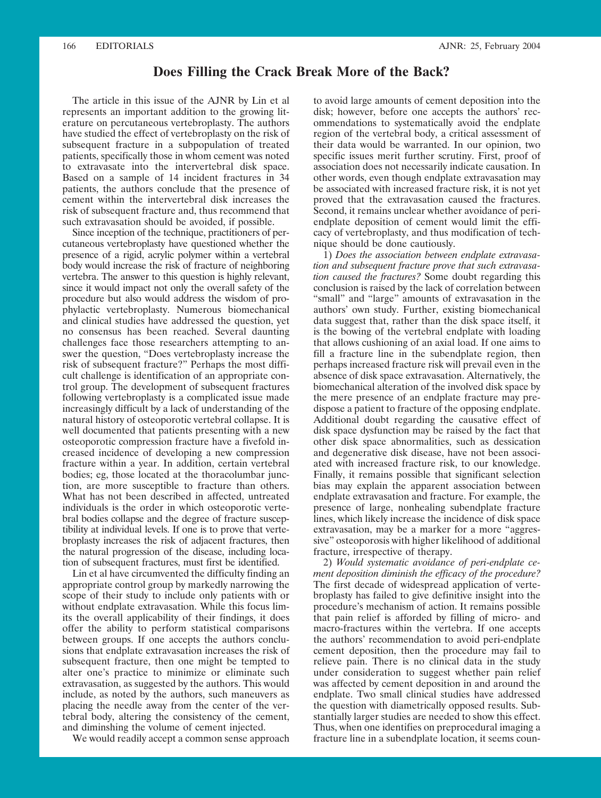### **Does Filling the Crack Break More of the Back?**

The article in this issue of the AJNR by Lin et al represents an important addition to the growing literature on percutaneous vertebroplasty. The authors have studied the effect of vertebroplasty on the risk of subsequent fracture in a subpopulation of treated patients, specifically those in whom cement was noted to extravasate into the intervertebral disk space. Based on a sample of 14 incident fractures in 34 patients, the authors conclude that the presence of cement within the intervertebral disk increases the risk of subsequent fracture and, thus recommend that such extravasation should be avoided, if possible.

Since inception of the technique, practitioners of percutaneous vertebroplasty have questioned whether the presence of a rigid, acrylic polymer within a vertebral body would increase the risk of fracture of neighboring vertebra. The answer to this question is highly relevant, since it would impact not only the overall safety of the procedure but also would address the wisdom of prophylactic vertebroplasty. Numerous biomechanical and clinical studies have addressed the question, yet no consensus has been reached. Several daunting challenges face those researchers attempting to answer the question, "Does vertebroplasty increase the risk of subsequent fracture?" Perhaps the most difficult challenge is identification of an appropriate control group. The development of subsequent fractures following vertebroplasty is a complicated issue made increasingly difficult by a lack of understanding of the natural history of osteoporotic vertebral collapse. It is well documented that patients presenting with a new osteoporotic compression fracture have a fivefold increased incidence of developing a new compression fracture within a year. In addition, certain vertebral bodies; eg, those located at the thoracolumbar junction, are more susceptible to fracture than others. What has not been described in affected, untreated individuals is the order in which osteoporotic vertebral bodies collapse and the degree of fracture susceptibility at individual levels. If one is to prove that vertebroplasty increases the risk of adjacent fractures, then the natural progression of the disease, including location of subsequent fractures, must first be identified.

Lin et al have circumvented the difficulty finding an appropriate control group by markedly narrowing the scope of their study to include only patients with or without endplate extravasation. While this focus limits the overall applicability of their findings, it does offer the ability to perform statistical comparisons between groups. If one accepts the authors conclusions that endplate extravasation increases the risk of subsequent fracture, then one might be tempted to alter one's practice to minimize or eliminate such extravasation, as suggested by the authors. This would include, as noted by the authors, such maneuvers as placing the needle away from the center of the vertebral body, altering the consistency of the cement, and diminshing the volume of cement injected.

We would readily accept a common sense approach

to avoid large amounts of cement deposition into the disk; however, before one accepts the authors' recommendations to systematically avoid the endplate region of the vertebral body, a critical assessment of their data would be warranted. In our opinion, two specific issues merit further scrutiny. First, proof of association does not necessarily indicate causation. In other words, even though endplate extravasation may be associated with increased fracture risk, it is not yet proved that the extravasation caused the fractures. Second, it remains unclear whether avoidance of periendplate deposition of cement would limit the efficacy of vertebroplasty, and thus modification of technique should be done cautiously.

1) *Does the association between endplate extravasation and subsequent fracture prove that such extravasation caused the fractures?* Some doubt regarding this conclusion is raised by the lack of correlation between "small" and "large" amounts of extravasation in the authors' own study. Further, existing biomechanical data suggest that, rather than the disk space itself, it is the bowing of the vertebral endplate with loading that allows cushioning of an axial load. If one aims to fill a fracture line in the subendplate region, then perhaps increased fracture risk will prevail even in the absence of disk space extravasation. Alternatively, the biomechanical alteration of the involved disk space by the mere presence of an endplate fracture may predispose a patient to fracture of the opposing endplate. Additional doubt regarding the causative effect of disk space dysfunction may be raised by the fact that other disk space abnormalities, such as dessication and degenerative disk disease, have not been associated with increased fracture risk, to our knowledge. Finally, it remains possible that significant selection bias may explain the apparent association between endplate extravasation and fracture. For example, the presence of large, nonhealing subendplate fracture lines, which likely increase the incidence of disk space extravasation, may be a marker for a more "aggressive" osteoporosis with higher likelihood of additional fracture, irrespective of therapy.

2) *Would systematic avoidance of peri-endplate cement deposition diminish the efficacy of the procedure?* The first decade of widespread application of vertebroplasty has failed to give definitive insight into the procedure's mechanism of action. It remains possible that pain relief is afforded by filling of micro- and macro-fractures within the vertebra. If one accepts the authors' recommendation to avoid peri-endplate cement deposition, then the procedure may fail to relieve pain. There is no clinical data in the study under consideration to suggest whether pain relief was affected by cement deposition in and around the endplate. Two small clinical studies have addressed the question with diametrically opposed results. Substantially larger studies are needed to show this effect. Thus, when one identifies on preprocedural imaging a fracture line in a subendplate location, it seems coun-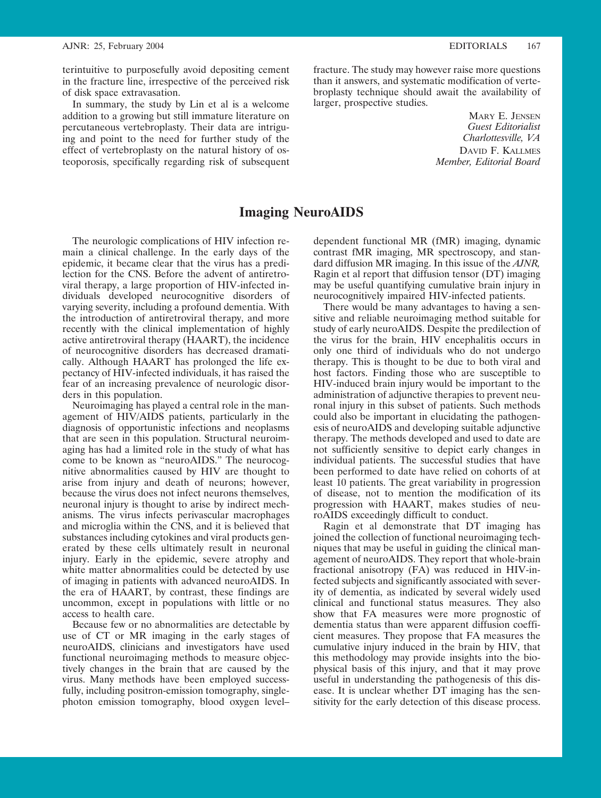terintuitive to purposefully avoid depositing cement in the fracture line, irrespective of the perceived risk of disk space extravasation.

In summary, the study by Lin et al is a welcome addition to a growing but still immature literature on percutaneous vertebroplasty. Their data are intriguing and point to the need for further study of the effect of vertebroplasty on the natural history of osteoporosis, specifically regarding risk of subsequent fracture. The study may however raise more questions than it answers, and systematic modification of vertebroplasty technique should await the availability of larger, prospective studies.

> MARY E. JENSEN *Guest Editorialist Charlottesville, VA* DAVID F. KALLMES *Member, Editorial Board*

## **Imaging NeuroAIDS**

The neurologic complications of HIV infection remain a clinical challenge. In the early days of the epidemic, it became clear that the virus has a predilection for the CNS. Before the advent of antiretroviral therapy, a large proportion of HIV-infected individuals developed neurocognitive disorders of varying severity, including a profound dementia. With the introduction of antiretroviral therapy, and more recently with the clinical implementation of highly active antiretroviral therapy (HAART), the incidence of neurocognitive disorders has decreased dramatically. Although HAART has prolonged the life expectancy of HIV-infected individuals, it has raised the fear of an increasing prevalence of neurologic disorders in this population.

Neuroimaging has played a central role in the management of HIV/AIDS patients, particularly in the diagnosis of opportunistic infections and neoplasms that are seen in this population. Structural neuroimaging has had a limited role in the study of what has come to be known as "neuroAIDS." The neurocognitive abnormalities caused by HIV are thought to arise from injury and death of neurons; however, because the virus does not infect neurons themselves, neuronal injury is thought to arise by indirect mechanisms. The virus infects perivascular macrophages and microglia within the CNS, and it is believed that substances including cytokines and viral products generated by these cells ultimately result in neuronal injury. Early in the epidemic, severe atrophy and white matter abnormalities could be detected by use of imaging in patients with advanced neuroAIDS. In the era of HAART, by contrast, these findings are uncommon, except in populations with little or no access to health care.

Because few or no abnormalities are detectable by use of CT or MR imaging in the early stages of neuroAIDS, clinicians and investigators have used functional neuroimaging methods to measure objectively changes in the brain that are caused by the virus. Many methods have been employed successfully, including positron-emission tomography, singlephoton emission tomography, blood oxygen level–

dependent functional MR (fMR) imaging, dynamic contrast fMR imaging, MR spectroscopy, and standard diffusion MR imaging. In this issue of the *AJNR,* Ragin et al report that diffusion tensor (DT) imaging may be useful quantifying cumulative brain injury in neurocognitively impaired HIV-infected patients.

There would be many advantages to having a sensitive and reliable neuroimaging method suitable for study of early neuroAIDS. Despite the predilection of the virus for the brain, HIV encephalitis occurs in only one third of individuals who do not undergo therapy. This is thought to be due to both viral and host factors. Finding those who are susceptible to HIV-induced brain injury would be important to the administration of adjunctive therapies to prevent neuronal injury in this subset of patients. Such methods could also be important in elucidating the pathogenesis of neuroAIDS and developing suitable adjunctive therapy. The methods developed and used to date are not sufficiently sensitive to depict early changes in individual patients. The successful studies that have been performed to date have relied on cohorts of at least 10 patients. The great variability in progression of disease, not to mention the modification of its progression with HAART, makes studies of neuroAIDS exceedingly difficult to conduct.

Ragin et al demonstrate that DT imaging has joined the collection of functional neuroimaging techniques that may be useful in guiding the clinical management of neuroAIDS. They report that whole-brain fractional anisotropy (FA) was reduced in HIV-infected subjects and significantly associated with severity of dementia, as indicated by several widely used clinical and functional status measures. They also show that FA measures were more prognostic of dementia status than were apparent diffusion coefficient measures. They propose that FA measures the cumulative injury induced in the brain by HIV, that this methodology may provide insights into the biophysical basis of this injury, and that it may prove useful in understanding the pathogenesis of this disease. It is unclear whether DT imaging has the sensitivity for the early detection of this disease process.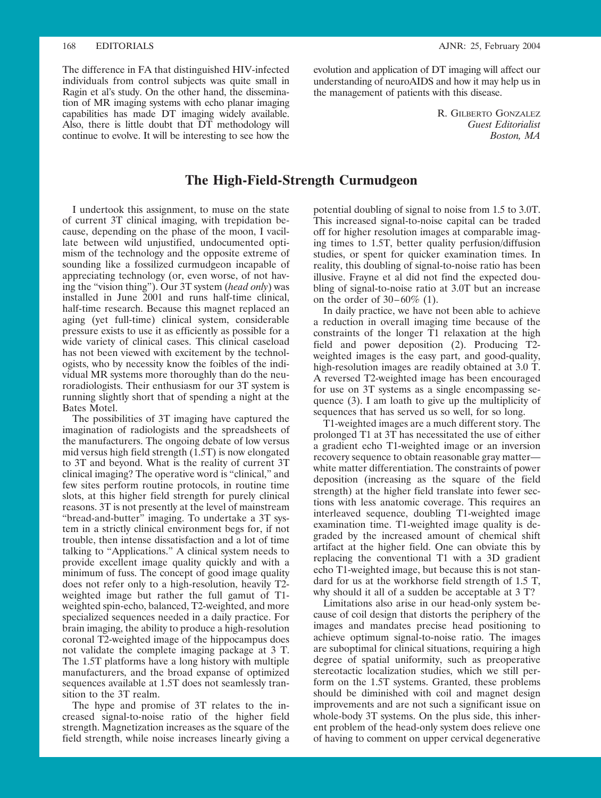The difference in FA that distinguished HIV-infected individuals from control subjects was quite small in Ragin et al's study. On the other hand, the dissemination of MR imaging systems with echo planar imaging capabilities has made DT imaging widely available. Also, there is little doubt that DT methodology will continue to evolve. It will be interesting to see how the

evolution and application of DT imaging will affect our understanding of neuroAIDS and how it may help us in the management of patients with this disease.

> R. GILBERTO GONZALEZ *Guest Editorialist Boston, MA*

## **The High-Field-Strength Curmudgeon**

I undertook this assignment, to muse on the state of current 3T clinical imaging, with trepidation because, depending on the phase of the moon, I vacillate between wild unjustified, undocumented optimism of the technology and the opposite extreme of sounding like a fossilized curmudgeon incapable of appreciating technology (or, even worse, of not having the "vision thing"). Our 3T system (*head only*) was installed in June 2001 and runs half-time clinical, half-time research. Because this magnet replaced an aging (yet full-time) clinical system, considerable pressure exists to use it as efficiently as possible for a wide variety of clinical cases. This clinical caseload has not been viewed with excitement by the technologists, who by necessity know the foibles of the individual MR systems more thoroughly than do the neuroradiologists. Their enthusiasm for our 3T system is running slightly short that of spending a night at the Bates Motel.

The possibilities of 3T imaging have captured the imagination of radiologists and the spreadsheets of the manufacturers. The ongoing debate of low versus mid versus high field strength (1.5T) is now elongated to 3T and beyond. What is the reality of current 3T clinical imaging? The operative word is "clinical," and few sites perform routine protocols, in routine time slots, at this higher field strength for purely clinical reasons. 3T is not presently at the level of mainstream "bread-and-butter" imaging. To undertake a 3T system in a strictly clinical environment begs for, if not trouble, then intense dissatisfaction and a lot of time talking to "Applications." A clinical system needs to provide excellent image quality quickly and with a minimum of fuss. The concept of good image quality does not refer only to a high-resolution, heavily T2 weighted image but rather the full gamut of T1 weighted spin-echo, balanced, T2-weighted, and more specialized sequences needed in a daily practice. For brain imaging, the ability to produce a high-resolution coronal T2-weighted image of the hippocampus does not validate the complete imaging package at 3 T. The 1.5T platforms have a long history with multiple manufacturers, and the broad expanse of optimized sequences available at 1.5T does not seamlessly transition to the 3T realm.

The hype and promise of 3T relates to the increased signal-to-noise ratio of the higher field strength. Magnetization increases as the square of the field strength, while noise increases linearly giving a

potential doubling of signal to noise from 1.5 to 3.0T. This increased signal-to-noise capital can be traded off for higher resolution images at comparable imaging times to 1.5T, better quality perfusion/diffusion studies, or spent for quicker examination times. In reality, this doubling of signal-to-noise ratio has been illusive. Frayne et al did not find the expected doubling of signal-to-noise ratio at 3.0T but an increase on the order of  $30-60\%$  (1).

In daily practice, we have not been able to achieve a reduction in overall imaging time because of the constraints of the longer T1 relaxation at the high field and power deposition (2). Producing T2 weighted images is the easy part, and good-quality, high-resolution images are readily obtained at 3.0 T. A reversed T2-weighted image has been encouraged for use on 3T systems as a single encompassing sequence (3). I am loath to give up the multiplicity of sequences that has served us so well, for so long.

T1-weighted images are a much different story. The prolonged T1 at 3T has necessitated the use of either a gradient echo T1-weighted image or an inversion recovery sequence to obtain reasonable gray matter white matter differentiation. The constraints of power deposition (increasing as the square of the field strength) at the higher field translate into fewer sections with less anatomic coverage. This requires an interleaved sequence, doubling T1-weighted image examination time. T1-weighted image quality is degraded by the increased amount of chemical shift artifact at the higher field. One can obviate this by replacing the conventional T1 with a 3D gradient echo T1-weighted image, but because this is not standard for us at the workhorse field strength of 1.5 T, why should it all of a sudden be acceptable at 3 T?

Limitations also arise in our head-only system because of coil design that distorts the periphery of the images and mandates precise head positioning to achieve optimum signal-to-noise ratio. The images are suboptimal for clinical situations, requiring a high degree of spatial uniformity, such as preoperative stereotactic localization studies, which we still perform on the 1.5T systems. Granted, these problems should be diminished with coil and magnet design improvements and are not such a significant issue on whole-body 3T systems. On the plus side, this inherent problem of the head-only system does relieve one of having to comment on upper cervical degenerative